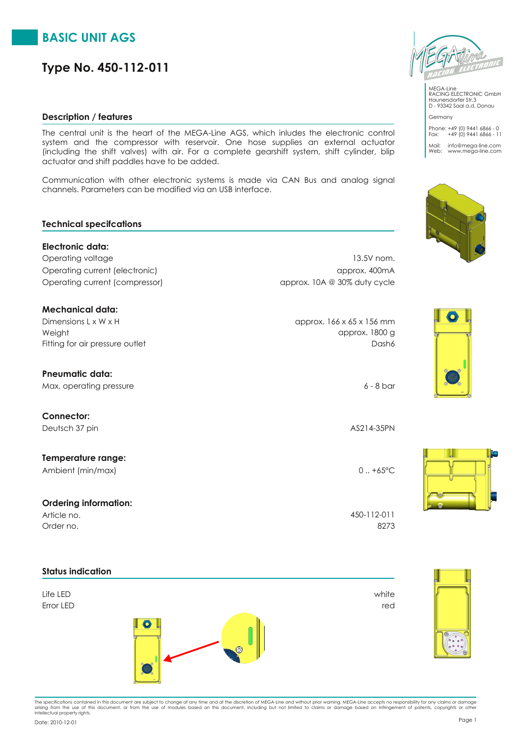# **BASIC UNIT AGS**

# **Type No. 450-112-011**

## **Description / features**

The central unit is the heart of the MEGA-Line AGS, which inludes the electronic control system and the compressor with reservoir. One hose supplies an external actuator (including the shift valves) with air. For a complete gearshift system, shift cylinder, blip actuator and shift paddles have to be added.

Communication with other electronic systems is made via CAN Bus and analog signal channels. Parameters can be modified via an USB interface.

## **Technical specifcations**

**Electronic data:** Operating voltage 13.5V nom. Operating current (electronic) approx. 400mA Operating current (compressor) and approx. 10A @ 30% duty cycle

## **Mechanical data:**

 $D$ imensions L x W x H  $\alpha$  by  $D$  approx. 166 x 65 x 156 mm Fitting for air pressure outlet **Dash6** Dash6 Weight approx. 1800 g

# **Pneumatic data:**

Max. operating pressure 6 - 8 bar

**Connector:** Deutsch 37 pin AS214-35PN

**Temperature range:** Ambient (min/max) 0 ... +65°C

## **Ordering information:**

Order no. 8273 Article no. 450-112-011

**Status indication**

# Error LED red Life LED white



#### MEGA-Line RACING ELECTRONIC GmbH Haunersdorfer Str.3 D - 93342 Saal a.d. Donau Germany

Phone: +49 (0) 9441 6866 - 0 Fax: +49 (0) 9441 6866 - 11 Mail: info@mega-line.com Web: www.mega-line.com







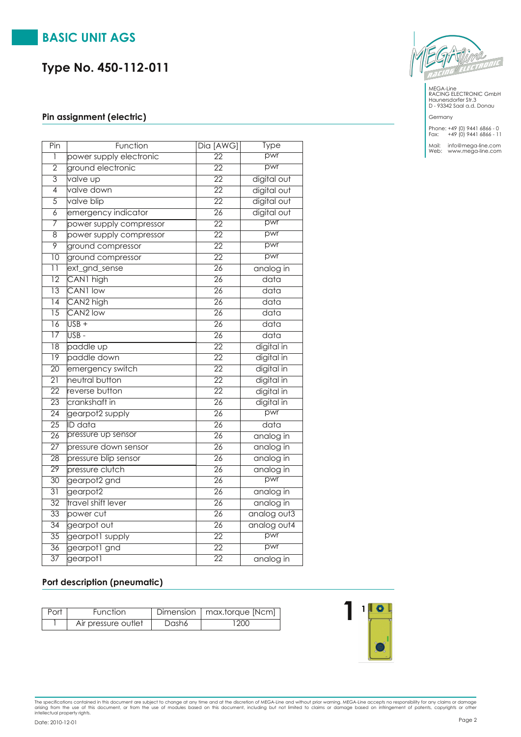# **BASIC UNIT AGS**

# **Type No. 450-112-011**

## **Pin assignment (electric)**

| Pin             | Function                | Dia [AWG]       | <b>Type</b>       |
|-----------------|-------------------------|-----------------|-------------------|
| 1               | power supply electronic | $\overline{22}$ | pwr               |
| $\overline{2}$  | ground electronic       | $\overline{22}$ | pwr               |
| $\overline{3}$  | valve up                | $\overline{22}$ | digital out       |
| 4               | valve down              | $\overline{22}$ | digital out       |
| $\overline{5}$  | valve blip              | $\overline{22}$ | digital out       |
| $\overline{6}$  | emergency indicator     | $\overline{26}$ | digital out       |
| 7               | power supply compressor | $\overline{22}$ | pwr               |
| $\overline{8}$  | power supply compressor | $\overline{22}$ | pwr               |
| $\overline{9}$  | ground compressor       | $\overline{22}$ | pwr               |
| $\overline{10}$ | ground compressor       | $\overline{22}$ | pwr               |
| $\overline{11}$ | ext_gnd_sense           | $\overline{26}$ | analog in         |
| $\overline{12}$ | CAN1 high               | $\overline{26}$ | $\overline{data}$ |
| $\overline{13}$ | CAN1 low                | $\overline{26}$ | data              |
| $\overline{14}$ | CAN <sub>2</sub> high   | $\overline{26}$ | data              |
| $\overline{15}$ | CAN <sub>2</sub> low    | $\overline{26}$ | $\overline{data}$ |
| $\overline{16}$ | $\overline{USB}$ +      | $\overline{26}$ | $\overline{data}$ |
| $\overline{17}$ | USB-                    | $\overline{26}$ | $\overline{data}$ |
| $\overline{18}$ | paddle up               | $\overline{22}$ | digital in        |
| $\overline{19}$ | paddle down             | $\overline{22}$ | digital in        |
| $\overline{20}$ | emergency switch        | $\overline{22}$ | digital in        |
| $\overline{21}$ | neutral button          | $\overline{22}$ | digital in        |
| $\overline{22}$ | reverse button          | $\overline{22}$ | digital in        |
| $\overline{23}$ | crankshaft in           | $\overline{26}$ | digital in        |
| $\overline{24}$ | gearpot2 supply         | $\overline{26}$ | pwr               |
| $\overline{25}$ | <b>ID</b> data          | $\overline{26}$ | data              |
| $\overline{26}$ | pressure up sensor      | $\overline{26}$ | analog in         |
| $\overline{27}$ | pressure down sensor    | $\overline{26}$ | analog in         |
| $\overline{28}$ | pressure blip sensor    | $\overline{26}$ | analog in         |
| $\overline{29}$ | pressure clutch         | $\overline{26}$ | analog in         |
| 30              | gearpot2 gnd            | $\overline{26}$ | pwr               |
| $\overline{31}$ | gearpot2                | 26              | analog in         |
| $\overline{32}$ | travel shift lever      | $\overline{26}$ | analog in         |
| $\overline{33}$ | power cut               | $\overline{26}$ | analog out3       |
| $\overline{34}$ | gearpot out             | $\overline{26}$ | analog out4       |
| $\overline{35}$ | gearpot1 supply         | $\overline{22}$ | pwr               |
| $\overline{36}$ | gearpot1 gnd            | $\overline{22}$ | pwr               |
| $\overline{37}$ | gearpotl                | $\overline{22}$ | analog in         |



MEGA-Line RACING ELECTRONIC GmbH Haunersdorfer Str.3 D - 93342 Saal a.d. Donau

Germany

Phone: +49 (0) 9441 6866 - 0 Fax: +49 (0) 9441 6866 - 11

Mail: info@mega-line.com Web: www.mega-line.com

# **Port description (pneumatic)**

| Port | <b>Function</b>     |       | Dimension   max.torque [Ncm] |
|------|---------------------|-------|------------------------------|
|      | Air pressure outlet | Dash6 | 200                          |



The specifications contained in this document are subject to change at any time and at the discretion of MEGA-Line and without prior warning. MEGA-Line accepts no responsibility for any claims or damage<br>arising from the us

Page <sup>2</sup> Date: 2010-12-01